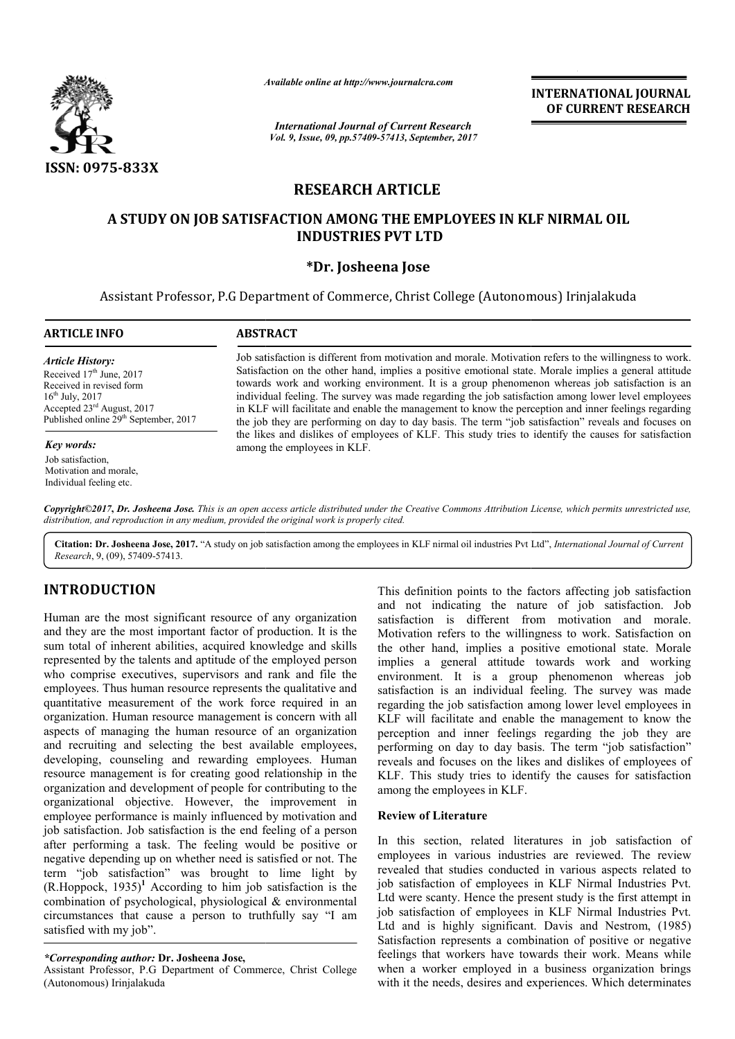

*Available online at http://www.journal http://www.journalcra.com*

*International Journal of Current Research Vol. 9, Issue, 09, pp.57409-57413, September, 2017* **INTERNATIONAL JOURNAL OF CURRENT RESEARCH** 

# **RESEARCH ARTICLE**

# **A STUDY ON JOB SATISFACTION AMONG THE EMPLOYEES IN KLF A STUDY NIRMAL OIL INDUSTRIES PVT LTD**

# **\*Dr. Josheena Jose**

Assistant Professor, P.G Department of Commerce, Christ College (Autonomous) Irinjalakuda

| <b>ARTICLE INFO</b>                                                                                                                                                                                                                                                                    | <b>ABSTRACT</b>                                                                                                                                                                                                                                                                                                                                                                                                                                                                                                                                                                                                                        |  |  |  |
|----------------------------------------------------------------------------------------------------------------------------------------------------------------------------------------------------------------------------------------------------------------------------------------|----------------------------------------------------------------------------------------------------------------------------------------------------------------------------------------------------------------------------------------------------------------------------------------------------------------------------------------------------------------------------------------------------------------------------------------------------------------------------------------------------------------------------------------------------------------------------------------------------------------------------------------|--|--|--|
| <b>Article History:</b><br>Received $17th$ June, 2017<br>Received in revised form<br>$16^{th}$ July, 2017<br>Accepted $23rd$ August, 2017<br>Published online 29 <sup>th</sup> September, 2017<br>Key words:<br>Job satisfaction.<br>Motivation and morale.<br>Individual feeling etc. | Job satisfaction is different from motivation and morale. Motivation refers to the willingness to work.<br>Satisfaction on the other hand, implies a positive emotional state. Morale implies a general attitude<br>towards work and working environment. It is a group phenomenon whereas job satisfaction is an<br>individual feeling. The survey was made regarding the job satisfaction among lower level employees<br>in KLF will facilitate and enable the management to know the perception and inner feelings regarding<br>the job they are performing on day to day basis. The term "job satisfaction" reveals and focuses on |  |  |  |
|                                                                                                                                                                                                                                                                                        | the likes and dislikes of employees of KLF. This study tries to identify the causes for satisfaction<br>among the employees in KLF.                                                                                                                                                                                                                                                                                                                                                                                                                                                                                                    |  |  |  |
|                                                                                                                                                                                                                                                                                        | Copyright©2017, Dr. Josheena Jose. This is an open access article distributed under the Creative Commons Attribution License, which permits unrestricted use,<br>distribution, and reproduction in any medium, provided the original work is properly cited.                                                                                                                                                                                                                                                                                                                                                                           |  |  |  |

Citation: Dr. Josheena Jose, 2017. "A study on job satisfaction among the employees in KLF nirmal oil industries Pvt Ltd", *International Journal of Current* 

*Research*, 9, (09), 57409-57413.

# **INTRODUCTION**

Human are the most significant resource of any organization and they are the most important factor of production. It is the sum total of inherent abilities, acquired knowledge and skills represented by the talents and aptitude of the employed person who comprise executives, supervisors and rank and file the employees. Thus human resource represents the qualitative and quantitative measurement of the work force required in an organization. Human resource management is concern with all aspects of managing the human resource of an organization and recruiting and selecting the best available employees, developing, counseling and rewarding employees. Human resource management is for creating good relationship in the organization and development of people for contributing to the organizational objective. However, the improvement in employee performance is mainly influenced by motivation and job satisfaction. Job satisfaction is the end feeling of a person after performing a task. The feeling would be positive or negative depending up on whether need is satisfied or not. The term "job satisfaction" was brought to lime light by  $(R.Hoppock, 1935)^1$  According to him job satisfaction is the combination of psychological, physiological & environmental circumstances that cause a person to truthfully say "I am satisfied with my job".

## *\*Corresponding author:* **Dr. Josheena Jose,**

Assistant Professor, P.G Department of Commerce, Christ College (Autonomous) Irinjalakuda

This definition points to the factors affecting job satisfaction and not indicating the nature of job satisfaction. Job satisfaction is different from motivation and morale. Motivation refers to the willingness to work. Satisfaction on the other hand, implies a positive emotional state. Morale implies a general attitude towards work and working environment. It is a group phenomenon whereas job satisfaction is an individual feeling. The survey was made regarding the job satisfaction among lower level employees in KLF will facilitate and enable the management to know the perception and inner feelings regarding the job they are performing on day to day basis. The term "job satisfaction" reveals and focuses on the likes and dislikes of employees of KLF. This study tries to identify the causes for satisfaction among the employees in KLF. satisfaction is different from motivation and morale.<br>Motivation refers to the willingness to work. Satisfaction on<br>the other hand, implies a positive emotional state. Morale<br>implies a general attitude towards work and wor regarding the job satisfaction among lower level employees in KLF will facilitate and enable the management to know the perception and inner feelings regarding the job they are performing on day to day basis. The term "job

#### **Review of Literature**

In this section, related literatures in job satisfaction of employees in various industries are reviewed. The review revealed that studies conducted in various aspects related to job satisfaction of employees in KLF Nirmal Industries Pvt. Ltd were scanty. Hence the present study is the first attempt in job satisfaction of employees in KLF Nirmal Industries Pvt. Ltd and is highly significant. Davis and Nestrom, (1985) Satisfaction represents a combination of positive or negative feelings that workers have towards their work. Means while Satisfaction represents a combination of positive or negative feelings that workers have towards their work. Means while when a worker employed in a business organization brings with it the needs, desires and experiences. Which determinates on the likes and dislikes of employees of<br>is study tries to identify the causes for satisfaction<br>employees in KLF.<br>**f Literature**<br>section, related literatures in job satisfaction of<br>s in various industries are reviewed. Th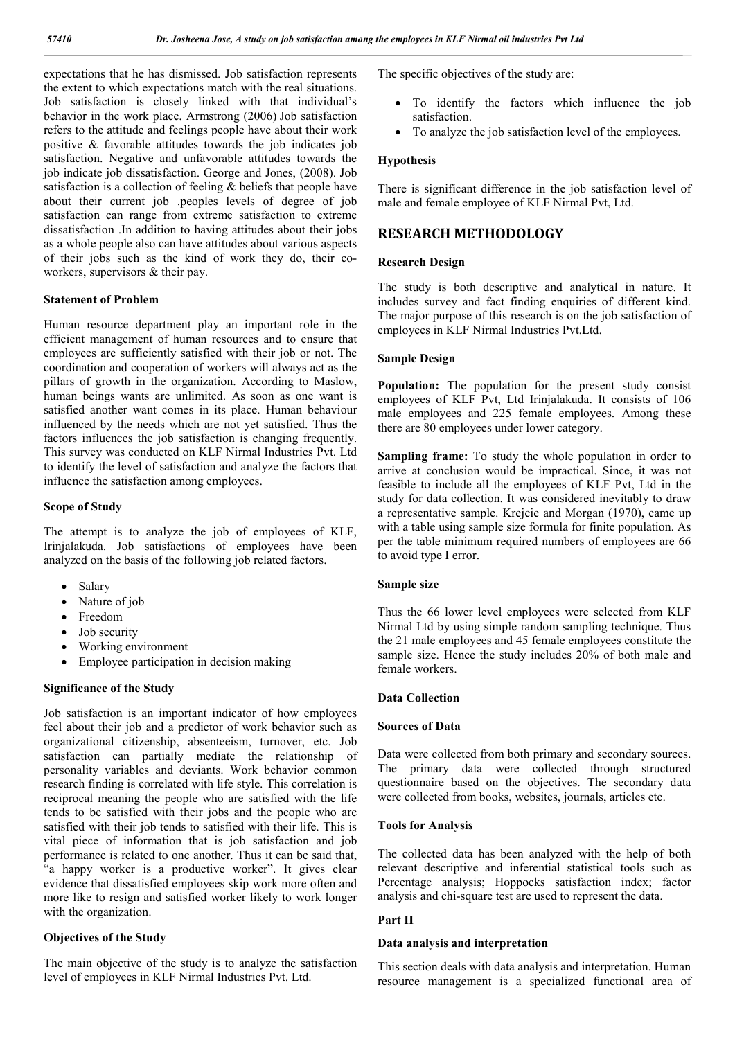expectations that he has dismissed. Job satisfaction represents the extent to which expectations match with the real situations. Job satisfaction is closely linked with that individual's behavior in the work place. Armstrong (2006) Job satisfaction refers to the attitude and feelings people have about their work positive & favorable attitudes towards the job indicates job satisfaction. Negative and unfavorable attitudes towards the job indicate job dissatisfaction. George and Jones, (2008). Job satisfaction is a collection of feeling & beliefs that people have about their current job .peoples levels of degree of job satisfaction can range from extreme satisfaction to extreme dissatisfaction .In addition to having attitudes about their jobs as a whole people also can have attitudes about various aspects of their jobs such as the kind of work they do, their coworkers, supervisors & their pay.

#### **Statement of Problem**

Human resource department play an important role in the efficient management of human resources and to ensure that employees are sufficiently satisfied with their job or not. The coordination and cooperation of workers will always act as the pillars of growth in the organization. According to Maslow, human beings wants are unlimited. As soon as one want is satisfied another want comes in its place. Human behaviour influenced by the needs which are not yet satisfied. Thus the factors influences the job satisfaction is changing frequently. This survey was conducted on KLF Nirmal Industries Pvt. Ltd to identify the level of satisfaction and analyze the factors that influence the satisfaction among employees.

### **Scope of Study**

The attempt is to analyze the job of employees of KLF, Irinjalakuda. Job satisfactions of employees have been analyzed on the basis of the following job related factors.

- Salary
- Nature of job
- Freedom
- Job security
- Working environment
- Employee participation in decision making

#### **Significance of the Study**

Job satisfaction is an important indicator of how employees feel about their job and a predictor of work behavior such as organizational citizenship, absenteeism, turnover, etc. Job satisfaction can partially mediate the relationship of personality variables and deviants. Work behavior common research finding is correlated with life style. This correlation is reciprocal meaning the people who are satisfied with the life tends to be satisfied with their jobs and the people who are satisfied with their job tends to satisfied with their life. This is vital piece of information that is job satisfaction and job performance is related to one another. Thus it can be said that, "a happy worker is a productive worker". It gives clear evidence that dissatisfied employees skip work more often and more like to resign and satisfied worker likely to work longer with the organization.

### **Objectives of the Study**

The main objective of the study is to analyze the satisfaction level of employees in KLF Nirmal Industries Pvt. Ltd.

The specific objectives of the study are:

- To identify the factors which influence the job satisfaction.
- To analyze the job satisfaction level of the employees.

#### **Hypothesis**

There is significant difference in the job satisfaction level of male and female employee of KLF Nirmal Pvt, Ltd.

## **RESEARCH METHODOLOGY**

#### **Research Design**

The study is both descriptive and analytical in nature. It includes survey and fact finding enquiries of different kind. The major purpose of this research is on the job satisfaction of employees in KLF Nirmal Industries Pvt.Ltd.

#### **Sample Design**

**Population:** The population for the present study consist employees of KLF Pvt, Ltd Irinjalakuda. It consists of 106 male employees and 225 female employees. Among these there are 80 employees under lower category.

**Sampling frame:** To study the whole population in order to arrive at conclusion would be impractical. Since, it was not feasible to include all the employees of KLF Pvt, Ltd in the study for data collection. It was considered inevitably to draw a representative sample. Krejcie and Morgan (1970), came up with a table using sample size formula for finite population. As per the table minimum required numbers of employees are 66 to avoid type I error.

#### **Sample size**

Thus the 66 lower level employees were selected from KLF Nirmal Ltd by using simple random sampling technique. Thus the 21 male employees and 45 female employees constitute the sample size. Hence the study includes 20% of both male and female workers.

#### **Data Collection**

#### **Sources of Data**

Data were collected from both primary and secondary sources. The primary data were collected through structured questionnaire based on the objectives. The secondary data were collected from books, websites, journals, articles etc.

#### **Tools for Analysis**

The collected data has been analyzed with the help of both relevant descriptive and inferential statistical tools such as Percentage analysis; Hoppocks satisfaction index; factor analysis and chi-square test are used to represent the data.

#### **Part II**

#### **Data analysis and interpretation**

This section deals with data analysis and interpretation. Human resource management is a specialized functional area of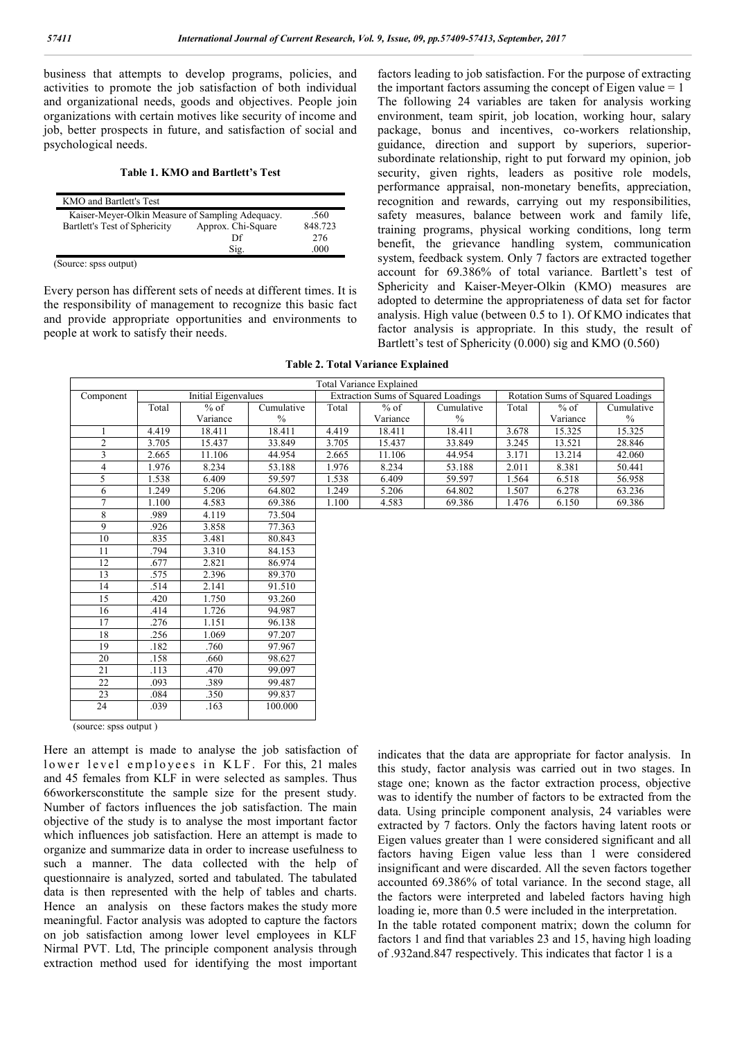business that attempts to develop programs, policies, and activities to promote the job satisfaction of both individual and organizational needs, goods and objectives. People join organizations with certain motives like security of income and job, better prospects in future, and satisfaction of social and psychological needs.

#### **Table 1. KMO and Bartlett's Test**

| KMO and Bartlett's Test                          |                    |         |
|--------------------------------------------------|--------------------|---------|
| Kaiser-Meyer-Olkin Measure of Sampling Adequacy. |                    | .560    |
| Bartlett's Test of Sphericity                    | Approx. Chi-Square | 848.723 |
|                                                  | Df                 | 276     |
|                                                  | Sig.               | 000     |

(Source: spss output)

Every person has different sets of needs at different times. It is the responsibility of management to recognize this basic fact and provide appropriate opportunities and environments to people at work to satisfy their needs.

factors leading to job satisfaction. For the purpose of extracting the important factors assuming the concept of Eigen value  $= 1$ The following 24 variables are taken for analysis working environment, team spirit, job location, working hour, salary package, bonus and incentives, co-workers relationship, guidance, direction and support by superiors, superiorsubordinate relationship, right to put forward my opinion, job security, given rights, leaders as positive role models, performance appraisal, non-monetary benefits, appreciation, recognition and rewards, carrying out my responsibilities, safety measures, balance between work and family life, training programs, physical working conditions, long term benefit, the grievance handling system, communication system, feedback system. Only 7 factors are extracted together account for 69.386% of total variance. Bartlett's test of Sphericity and Kaiser-Meyer-Olkin (KMO) measures are adopted to determine the appropriateness of data set for factor analysis. High value (between 0.5 to 1). Of KMO indicates that factor analysis is appropriate. In this study, the result of Bartlett's test of Sphericity (0.000) sig and KMO (0.560)

**Table 2. Total Variance Explained**

| <b>Total Variance Explained</b> |                     |          |                                            |       |          |                                   |       |          |            |
|---------------------------------|---------------------|----------|--------------------------------------------|-------|----------|-----------------------------------|-------|----------|------------|
| Component                       | Initial Eigenvalues |          | <b>Extraction Sums of Squared Loadings</b> |       |          | Rotation Sums of Squared Loadings |       |          |            |
|                                 | Total               | $%$ of   | Cumulative                                 | Total | $%$ of   | Cumulative                        | Total | $%$ of   | Cumulative |
|                                 |                     | Variance | $\frac{0}{0}$                              |       | Variance | $\%$                              |       | Variance | $\%$       |
|                                 | 4.419               | 18.411   | 18.411                                     | 4.419 | 18.411   | 18.411                            | 3.678 | 15.325   | 15.325     |
| 2                               | 3.705               | 15.437   | 33.849                                     | 3.705 | 15.437   | 33.849                            | 3.245 | 13.521   | 28.846     |
|                                 | 2.665               | 11.106   | 44.954                                     | 2.665 | 11.106   | 44.954                            | 3.171 | 13.214   | 42.060     |
| 4                               | 1.976               | 8.234    | 53.188                                     | 1.976 | 8.234    | 53.188                            | 2.011 | 8.381    | 50.441     |
| 5.                              | 1.538               | 6.409    | 59.597                                     | 1.538 | 6.409    | 59.597                            | 1.564 | 6.518    | 56.958     |
| 6                               | 1.249               | 5.206    | 64.802                                     | 1.249 | 5.206    | 64.802                            | 1.507 | 6.278    | 63.236     |
|                                 | 1.100               | 4.583    | 69.386                                     | 1.100 | 4.583    | 69.386                            | 1.476 | 6.150    | 69.386     |
| 8                               | .989                | 4.119    | 73.504                                     |       |          |                                   |       |          |            |
| 9                               | .926                | 3.858    | 77.363                                     |       |          |                                   |       |          |            |
| 10                              | .835                | 3.481    | 80.843                                     |       |          |                                   |       |          |            |
| 11                              | .794                | 3.310    | 84.153                                     |       |          |                                   |       |          |            |
| 12                              | .677                | 2.821    | 86.974                                     |       |          |                                   |       |          |            |
| 13                              | .575                | 2.396    | 89.370                                     |       |          |                                   |       |          |            |
| 14                              | .514                | 2.141    | 91.510                                     |       |          |                                   |       |          |            |
| 15                              | .420                | 1.750    | 93.260                                     |       |          |                                   |       |          |            |
| 16                              | .414                | 1.726    | 94.987                                     |       |          |                                   |       |          |            |

24 .039 .163 100.000

(source: spss output )

Here an attempt is made to analyse the job satisfaction of lower level employees in KLF. For this, 21 males and 45 females from KLF in were selected as samples. Thus 66workersconstitute the sample size for the present study. Number of factors influences the job satisfaction. The main objective of the study is to analyse the most important factor which influences job satisfaction. Here an attempt is made to organize and summarize data in order to increase usefulness to such a manner. The data collected with the help of questionnaire is analyzed, sorted and tabulated. The tabulated data is then represented with the help of tables and charts. Hence an analysis on these factors makes the study more meaningful. Factor analysis was adopted to capture the factors on job satisfaction among lower level employees in KLF Nirmal PVT. Ltd, The principle component analysis through extraction method used for identifying the most important

17 .276 1.151 96.138<br>18 .256 1.069 97.207 18 256 1.069 97.207 19 .182 .760 97.967<br>20 .158 .660 98.627 20 .158 .660 98.627 21 .113 .470 99.097 22 .093 .389 99.487<br>23 .084 .350 99.837 23 .084 .350 99.837

> indicates that the data are appropriate for factor analysis. In this study, factor analysis was carried out in two stages. In stage one; known as the factor extraction process, objective was to identify the number of factors to be extracted from the data. Using principle component analysis, 24 variables were extracted by 7 factors. Only the factors having latent roots or Eigen values greater than 1 were considered significant and all factors having Eigen value less than 1 were considered insignificant and were discarded. All the seven factors together accounted 69.386% of total variance. In the second stage, all the factors were interpreted and labeled factors having high loading ie, more than 0.5 were included in the interpretation. In the table rotated component matrix; down the column for factors 1 and find that variables 23 and 15, having high loading of .932and.847 respectively. This indicates that factor 1 is a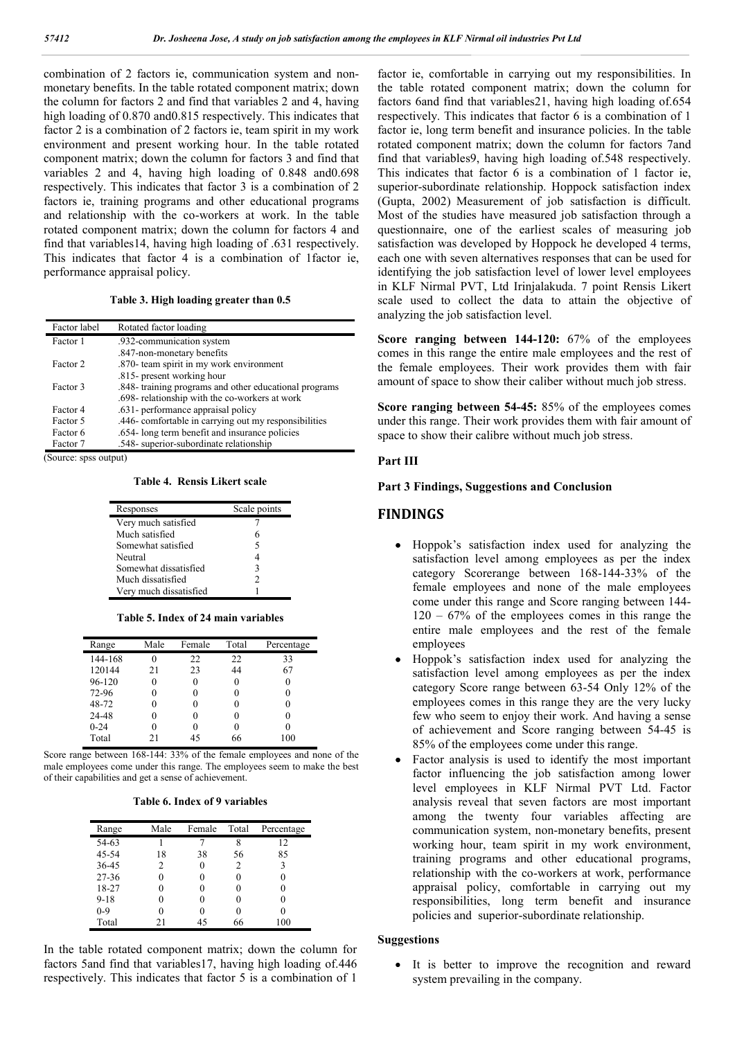combination of 2 factors ie, communication system and nonmonetary benefits. In the table rotated component matrix; down the column for factors 2 and find that variables 2 and 4, having high loading of 0.870 and0.815 respectively. This indicates that factor 2 is a combination of 2 factors ie, team spirit in my work environment and present working hour. In the table rotated component matrix; down the column for factors 3 and find that variables 2 and 4, having high loading of 0.848 and0.698 respectively. This indicates that factor 3 is a combination of 2 factors ie, training programs and other educational programs and relationship with the co-workers at work. In the table rotated component matrix; down the column for factors 4 and find that variables14, having high loading of .631 respectively. This indicates that factor 4 is a combination of 1factor ie, performance appraisal policy.

**Table 3. High loading greater than 0.5**

| Factor label | Rotated factor loading                                 |
|--------------|--------------------------------------------------------|
| Factor 1     | .932-communication system                              |
|              | .847-non-monetary benefits                             |
| Factor 2     | .870- team spirit in my work environment               |
|              | .815- present working hour                             |
| Factor 3     | .848- training programs and other educational programs |
|              | .698- relationship with the co-workers at work         |
| Factor 4     | .631- performance appraisal policy                     |
| Factor 5     | .446- comfortable in carrying out my responsibilities  |
| Factor 6     | .654-long term benefit and insurance policies          |
| Factor 7     | .548- superior-subordinate relationship                |

(Source: spss output)

**Table 4. Rensis Likert scale**

| Responses              | Scale points |
|------------------------|--------------|
| Very much satisfied    |              |
| Much satisfied         | 6            |
| Somewhat satisfied     | 5            |
| Neutral                |              |
| Somewhat dissatisfied  | ٦            |
| Much dissatisfied      | 2            |
| Very much dissatisfied |              |

#### **Table 5. Index of 24 main variables**

| Range    | Male | Female | Total | Percentage |
|----------|------|--------|-------|------------|
| 144-168  |      | 22     | 22    | 33         |
| 120144   | 21   | 23     | 44    | 67         |
| 96-120   |      |        | 0     | 0          |
| 72-96    |      |        | 0     | 0          |
| 48-72    |      |        | 0     | 0          |
| 24-48    |      |        | 0     | 0          |
| $0 - 24$ |      |        | 0     | 0          |
| Total    | 21   | 45     | 66    | 100        |

Score range between 168-144: 33% of the female employees and none of the male employees come under this range. The employees seem to make the best of their capabilities and get a sense of achievement.

#### **Table 6. Index of 9 variables**

| Range     | Male | Female | Total | Percentage |
|-----------|------|--------|-------|------------|
| 54-63     |      |        |       | 12         |
| 45-54     | 18   | 38     | 56    | 85         |
| 36-45     | 2    |        | 2     | ٩          |
| $27 - 36$ |      |        |       |            |
| 18-27     |      |        |       |            |
| $9 - 18$  |      |        |       |            |
| $0 - 9$   |      |        |       |            |
| Total     | 21   | 45     | 66    | 100        |

In the table rotated component matrix; down the column for factors 5and find that variables17, having high loading of.446 respectively. This indicates that factor 5 is a combination of 1 factor ie, comfortable in carrying out my responsibilities. In the table rotated component matrix; down the column for factors 6and find that variables21, having high loading of.654 respectively. This indicates that factor 6 is a combination of 1 factor ie, long term benefit and insurance policies. In the table rotated component matrix; down the column for factors 7and find that variables9, having high loading of.548 respectively. This indicates that factor 6 is a combination of 1 factor ie, superior-subordinate relationship. Hoppock satisfaction index (Gupta, 2002) Measurement of job satisfaction is difficult. Most of the studies have measured job satisfaction through a questionnaire, one of the earliest scales of measuring job satisfaction was developed by Hoppock he developed 4 terms, each one with seven alternatives responses that can be used for identifying the job satisfaction level of lower level employees in KLF Nirmal PVT, Ltd Irinjalakuda. 7 point Rensis Likert scale used to collect the data to attain the objective of analyzing the job satisfaction level.

**Score ranging between 144-120:** 67% of the employees comes in this range the entire male employees and the rest of the female employees. Their work provides them with fair amount of space to show their caliber without much job stress.

**Score ranging between 54-45:** 85% of the employees comes under this range. Their work provides them with fair amount of space to show their calibre without much job stress.

#### **Part III**

#### **Part 3 Findings, Suggestions and Conclusion**

## **FINDINGS**

- Hoppok's satisfaction index used for analyzing the satisfaction level among employees as per the index category Scorerange between 168-144-33% of the female employees and none of the male employees come under this range and Score ranging between 144-  $120 - 67\%$  of the employees comes in this range the entire male employees and the rest of the female employees
- Hoppok's satisfaction index used for analyzing the satisfaction level among employees as per the index category Score range between 63-54 Only 12% of the employees comes in this range they are the very lucky few who seem to enjoy their work. And having a sense of achievement and Score ranging between 54-45 is 85% of the employees come under this range.
- Factor analysis is used to identify the most important factor influencing the job satisfaction among lower level employees in KLF Nirmal PVT Ltd. Factor analysis reveal that seven factors are most important among the twenty four variables affecting are communication system, non-monetary benefits, present working hour, team spirit in my work environment, training programs and other educational programs, relationship with the co-workers at work, performance appraisal policy, comfortable in carrying out my responsibilities, long term benefit and insurance policies and superior-subordinate relationship.

#### **Suggestions**

 It is better to improve the recognition and reward system prevailing in the company.